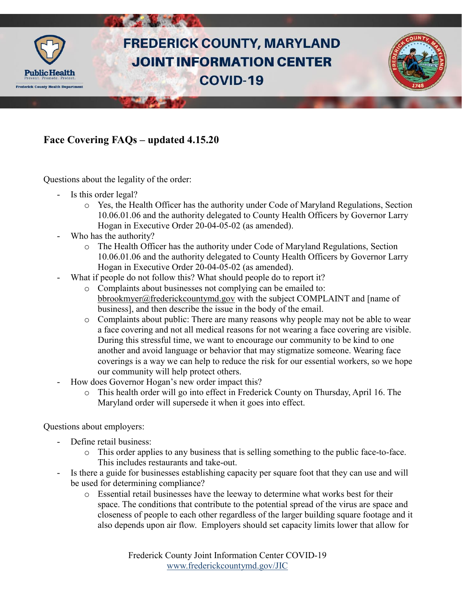

## **Face Covering FAQs – updated 4.15.20**

Questions about the legality of the order:

- Is this order legal?
	- o Yes, the Health Officer has the authority under Code of Maryland Regulations, Section 10.06.01.06 and the authority delegated to County Health Officers by Governor Larry Hogan in Executive Order 20-04-05-02 (as amended).
- Who has the authority?
	- o The Health Officer has the authority under Code of Maryland Regulations, Section 10.06.01.06 and the authority delegated to County Health Officers by Governor Larry Hogan in Executive Order 20-04-05-02 (as amended).
- What if people do not follow this? What should people do to report it?
	- o Complaints about businesses not complying can be emailed to: [bbrookmyer@frederickcountymd.gov](mailto:bbrookmyer@frederickcountymd.gov) with the subject COMPLAINT and [name of business], and then describe the issue in the body of the email.
	- o Complaints about public: There are many reasons why people may not be able to wear a face covering and not all medical reasons for not wearing a face covering are visible. During this stressful time, we want to encourage our community to be kind to one another and avoid language or behavior that may stigmatize someone. Wearing face coverings is a way we can help to reduce the risk for our essential workers, so we hope our community will help protect others.
- How does Governor Hogan's new order impact this?
	- o This health order will go into effect in Frederick County on Thursday, April 16. The Maryland order will supersede it when it goes into effect.

Questions about employers:

- Define retail business:
	- o This order applies to any business that is selling something to the public face-to-face. This includes restaurants and take-out.
- Is there a guide for businesses establishing capacity per square foot that they can use and will be used for determining compliance?
	- o Essential retail businesses have the leeway to determine what works best for their space. The conditions that contribute to the potential spread of the virus are space and closeness of people to each other regardless of the larger building square footage and it also depends upon air flow. Employers should set capacity limits lower that allow for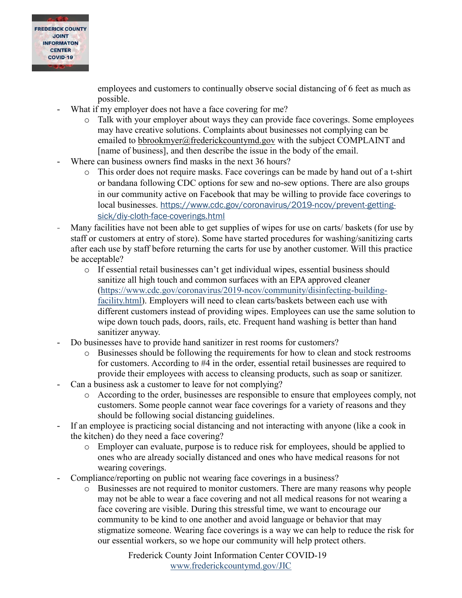

employees and customers to continually observe social distancing of 6 feet as much as possible.

- What if my employer does not have a face covering for me?
	- o Talk with your employer about ways they can provide face coverings. Some employees may have creative solutions. Complaints about businesses not complying can be emailed to [bbrookmyer@frederickcountymd.gov](mailto:bbrookmyer@frederickcountymd.gov) with the subject COMPLAINT and [name of business], and then describe the issue in the body of the email.
- Where can business owners find masks in the next 36 hours?
	- o This order does not require masks. Face coverings can be made by hand out of a t-shirt or bandana following CDC options for sew and no-sew options. There are also groups in our community active on Facebook that may be willing to provide face coverings to local businesses. [https://www.cdc.gov/coronavirus/2019-ncov/prevent-getting](https://www.cdc.gov/coronavirus/2019-ncov/prevent-getting-sick/diy-cloth-face-coverings.html)[sick/diy-cloth-face-coverings.html](https://www.cdc.gov/coronavirus/2019-ncov/prevent-getting-sick/diy-cloth-face-coverings.html)
- Many facilities have not been able to get supplies of wipes for use on carts/ baskets (for use by staff or customers at entry of store). Some have started procedures for washing/sanitizing carts after each use by staff before returning the carts for use by another customer. Will this practice be acceptable?
	- o If essential retail businesses can't get individual wipes, essential business should sanitize all high touch and common surfaces with an EPA approved cleaner [\(https://www.cdc.gov/coronavirus/2019-ncov/community/disinfecting-building](https://www.cdc.gov/coronavirus/2019-ncov/community/disinfecting-building-facility.html)[facility.html\)](https://www.cdc.gov/coronavirus/2019-ncov/community/disinfecting-building-facility.html). Employers will need to clean carts/baskets between each use with different customers instead of providing wipes. Employees can use the same solution to wipe down touch pads, doors, rails, etc. Frequent hand washing is better than hand sanitizer anyway.
- Do businesses have to provide hand sanitizer in rest rooms for customers?
	- o Businesses should be following the requirements for how to clean and stock restrooms for customers. According to #4 in the order, essential retail businesses are required to provide their employees with access to cleansing products, such as soap or sanitizer.
- Can a business ask a customer to leave for not complying?
	- o According to the order, businesses are responsible to ensure that employees comply, not customers. Some people cannot wear face coverings for a variety of reasons and they should be following social distancing guidelines.
- If an employee is practicing social distancing and not interacting with anyone (like a cook in the kitchen) do they need a face covering?
	- o Employer can evaluate, purpose is to reduce risk for employees, should be applied to ones who are already socially distanced and ones who have medical reasons for not wearing coverings.
- Compliance/reporting on public not wearing face coverings in a business?
	- o Businesses are not required to monitor customers. There are many reasons why people may not be able to wear a face covering and not all medical reasons for not wearing a face covering are visible. During this stressful time, we want to encourage our community to be kind to one another and avoid language or behavior that may stigmatize someone. Wearing face coverings is a way we can help to reduce the risk for our essential workers, so we hope our community will help protect others.

Frederick County Joint Information Center COVID-19 [www.frederickcountymd.gov/JIC](https://frederickcountymd.gov/JIC)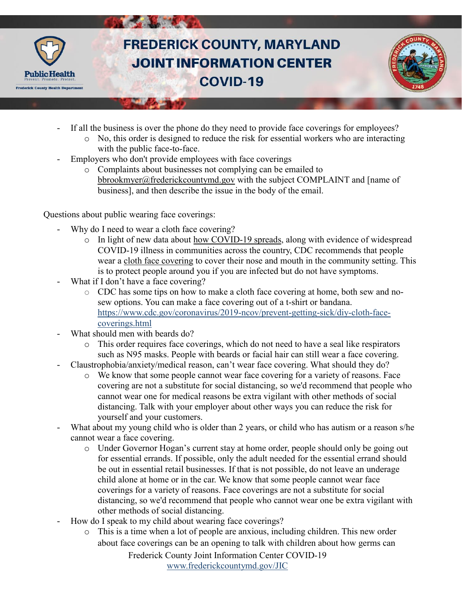

## **FREDERICK COUNTY, MARYLAND JOINT INFORMATION CENTER COVID-19**



- If all the business is over the phone do they need to provide face coverings for employees?
	- $\circ$  No, this order is designed to reduce the risk for essential workers who are interacting with the public face-to-face.
- Employers who don't provide employees with face coverings
	- o Complaints about businesses not complying can be emailed to [bbrookmyer@frederickcountymd.gov](mailto:bbrookmyer@frederickcountymd.gov) with the subject COMPLAINT and [name of business], and then describe the issue in the body of the email.

Questions about public wearing face coverings:

- Why do I need to wear a cloth face covering?
	- o In light of new data about [how COVID-19 spreads,](https://www.cdc.gov/coronavirus/2019-ncov/prevent-getting-sick/how-covid-spreads.html) along with evidence of widespread COVID-19 illness in communities across the country, CDC recommends that people wear a [cloth face covering](https://www.cdc.gov/coronavirus/2019-ncov/prevent-getting-sick/cloth-face-cover.html) to cover their nose and mouth in the community setting. This is to protect people around you if you are infected but do not have symptoms.
- What if I don't have a face covering?
	- o CDC has some tips on how to make a cloth face covering at home, both sew and nosew options. You can make a face covering out of a t-shirt or bandana. [https://www.cdc.gov/coronavirus/2019-ncov/prevent-getting-sick/diy-cloth-face](https://www.cdc.gov/coronavirus/2019-ncov/prevent-getting-sick/diy-cloth-face-coverings.html)[coverings.html](https://www.cdc.gov/coronavirus/2019-ncov/prevent-getting-sick/diy-cloth-face-coverings.html)
- What should men with beards do?
	- o This order requires face coverings, which do not need to have a seal like respirators such as N95 masks. People with beards or facial hair can still wear a face covering.
- Claustrophobia/anxiety/medical reason, can't wear face covering. What should they do?
	- o We know that some people cannot wear face covering for a variety of reasons. Face covering are not a substitute for social distancing, so we'd recommend that people who cannot wear one for medical reasons be extra vigilant with other methods of social distancing. Talk with your employer about other ways you can reduce the risk for yourself and your customers.
- What about my young child who is older than 2 years, or child who has autism or a reason s/he cannot wear a face covering.
	- o Under Governor Hogan's current stay at home order, people should only be going out for essential errands. If possible, only the adult needed for the essential errand should be out in essential retail businesses. If that is not possible, do not leave an underage child alone at home or in the car. We know that some people cannot wear face coverings for a variety of reasons. Face coverings are not a substitute for social distancing, so we'd recommend that people who cannot wear one be extra vigilant with other methods of social distancing.
- How do I speak to my child about wearing face coverings?
	- o This is a time when a lot of people are anxious, including children. This new order about face coverings can be an opening to talk with children about how germs can